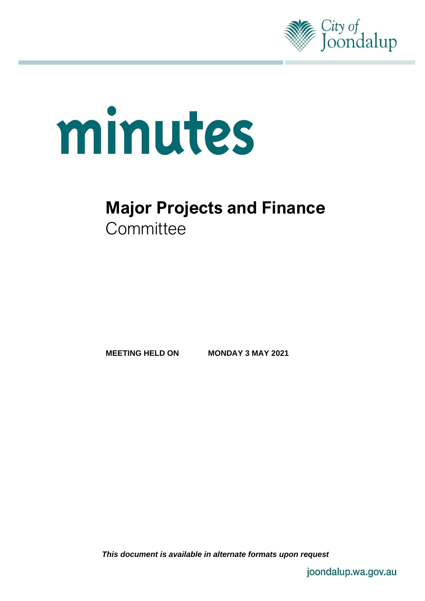

# minutes

## **Major Projects and Finance Committee**

**MEETING HELD ON MONDAY 3 MAY 2021**

*This document is available in alternate formats upon request*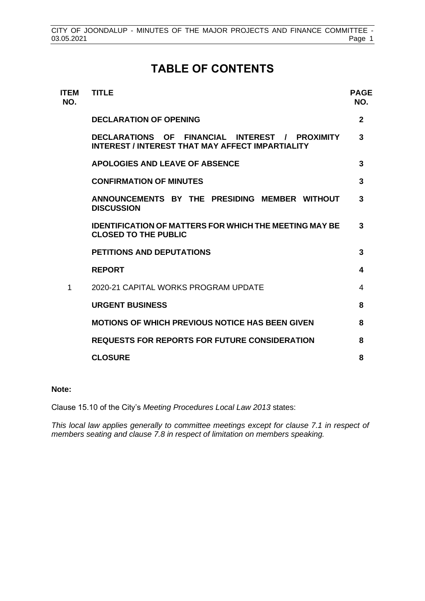## **TABLE OF CONTENTS**

| <b>ITEM</b><br>NO. | <b>TITLE</b>                                                                                              | <b>PAGE</b><br>NO. |
|--------------------|-----------------------------------------------------------------------------------------------------------|--------------------|
|                    | <b>DECLARATION OF OPENING</b>                                                                             | $\mathbf{2}$       |
|                    | DECLARATIONS OF FINANCIAL INTEREST / PROXIMITY<br><b>INTEREST / INTEREST THAT MAY AFFECT IMPARTIALITY</b> | 3                  |
|                    | <b>APOLOGIES AND LEAVE OF ABSENCE</b>                                                                     | 3                  |
|                    | <b>CONFIRMATION OF MINUTES</b>                                                                            | 3                  |
|                    | ANNOUNCEMENTS BY THE PRESIDING MEMBER WITHOUT<br><b>DISCUSSION</b>                                        | 3                  |
|                    | <b>IDENTIFICATION OF MATTERS FOR WHICH THE MEETING MAY BE</b><br><b>CLOSED TO THE PUBLIC</b>              | 3                  |
|                    | <b>PETITIONS AND DEPUTATIONS</b>                                                                          | 3                  |
|                    | <b>REPORT</b>                                                                                             | 4                  |
| 1                  | 2020-21 CAPITAL WORKS PROGRAM UPDATE                                                                      | 4                  |
|                    | <b>URGENT BUSINESS</b>                                                                                    | 8                  |
|                    | <b>MOTIONS OF WHICH PREVIOUS NOTICE HAS BEEN GIVEN</b>                                                    | 8                  |
|                    | <b>REQUESTS FOR REPORTS FOR FUTURE CONSIDERATION</b>                                                      | 8                  |
|                    | <b>CLOSURE</b>                                                                                            | 8                  |
|                    |                                                                                                           |                    |

#### **Note:**

Clause 15.10 of the City's *Meeting Procedures Local Law 2013* states:

*This local law applies generally to committee meetings except for clause 7.1 in respect of members seating and clause 7.8 in respect of limitation on members speaking.*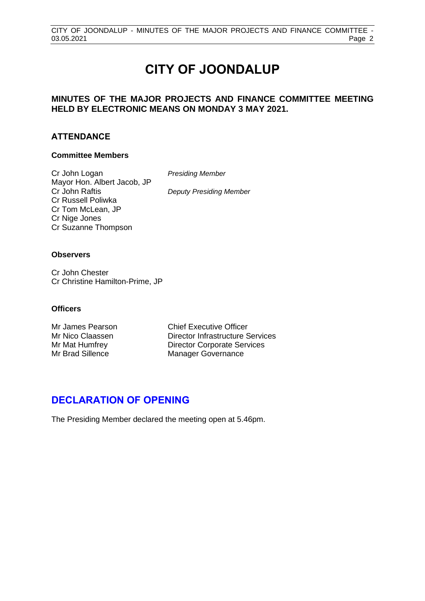## **CITY OF JOONDALUP**

#### **MINUTES OF THE MAJOR PROJECTS AND FINANCE COMMITTEE MEETING HELD BY ELECTRONIC MEANS ON MONDAY 3 MAY 2021.**

#### **ATTENDANCE**

#### **Committee Members**

Cr John Logan *Presiding Member* Mayor Hon. Albert Jacob, JP Cr John Raftis *Deputy Presiding Member* Cr Russell Poliwka Cr Tom McLean, JP Cr Nige Jones Cr Suzanne Thompson

#### **Observers**

Cr John Chester Cr Christine Hamilton-Prime, JP

#### **Officers**

Mr James Pearson Chief Executive Officer Mr Nico Claassen Director Infrastructure Services Mr Mat Humfrey Director Corporate Services Mr Brad Sillence Manager Governance

#### <span id="page-2-0"></span>**DECLARATION OF OPENING**

The Presiding Member declared the meeting open at 5.46pm.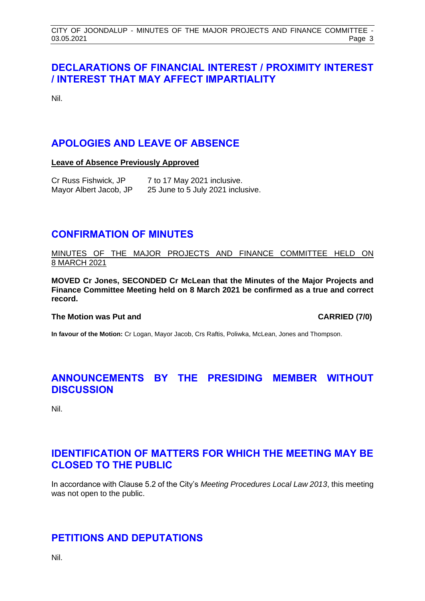#### <span id="page-3-0"></span>**DECLARATIONS OF FINANCIAL INTEREST / PROXIMITY INTEREST / INTEREST THAT MAY AFFECT IMPARTIALITY**

Nil.

#### <span id="page-3-1"></span>**APOLOGIES AND LEAVE OF ABSENCE**

**Leave of Absence Previously Approved**

| Cr Russ Fishwick, JP   | 7 to 17 May 2021 inclusive.       |
|------------------------|-----------------------------------|
| Mayor Albert Jacob, JP | 25 June to 5 July 2021 inclusive. |

#### <span id="page-3-2"></span>**CONFIRMATION OF MINUTES**

MINUTES OF THE MAJOR PROJECTS AND FINANCE COMMITTEE HELD ON 8 MARCH 2021

**MOVED Cr Jones, SECONDED Cr McLean that the Minutes of the Major Projects and Finance Committee Meeting held on 8 March 2021 be confirmed as a true and correct record.**

#### **The Motion was Put and CARRIED (7/0)**

**In favour of the Motion:** Cr Logan, Mayor Jacob, Crs Raftis, Poliwka, McLean, Jones and Thompson.

#### <span id="page-3-3"></span>**ANNOUNCEMENTS BY THE PRESIDING MEMBER WITHOUT DISCUSSION**

Nil.

#### <span id="page-3-4"></span>**IDENTIFICATION OF MATTERS FOR WHICH THE MEETING MAY BE CLOSED TO THE PUBLIC**

In accordance with Clause 5.2 of the City's *Meeting Procedures Local Law 2013*, this meeting was not open to the public.

#### <span id="page-3-5"></span>**PETITIONS AND DEPUTATIONS**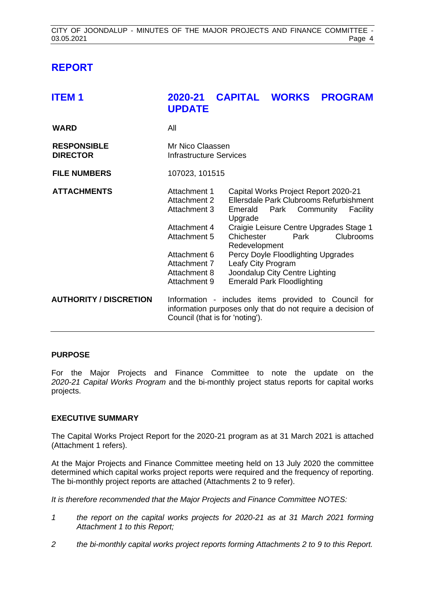#### <span id="page-4-0"></span>**REPORT**

<span id="page-4-1"></span>

| <b>ITEM1</b>                          | 2020-21<br><b>UPDATE</b>                                                                                                                               | <b>CAPITAL WORKS</b>                                                    |                                                                                                                                                                                                                                                                   | <b>PROGRAM</b> |                              |
|---------------------------------------|--------------------------------------------------------------------------------------------------------------------------------------------------------|-------------------------------------------------------------------------|-------------------------------------------------------------------------------------------------------------------------------------------------------------------------------------------------------------------------------------------------------------------|----------------|------------------------------|
| <b>WARD</b>                           | All                                                                                                                                                    |                                                                         |                                                                                                                                                                                                                                                                   |                |                              |
| <b>RESPONSIBLE</b><br><b>DIRECTOR</b> | Mr Nico Claassen<br><b>Infrastructure Services</b>                                                                                                     |                                                                         |                                                                                                                                                                                                                                                                   |                |                              |
| <b>FILE NUMBERS</b>                   | 107023, 101515                                                                                                                                         |                                                                         |                                                                                                                                                                                                                                                                   |                |                              |
| <b>ATTACHMENTS</b>                    | Attachment 1<br>Attachment 2<br>Attachment 3<br>Attachment 4<br>Attachment 5<br>Attachment 6<br>Attachment 7<br>Attachment 8<br>Attachment 9           | Emerald<br>Upgrade<br>Chichester<br>Redevelopment<br>Leafy City Program | Capital Works Project Report 2020-21<br>Ellersdale Park Clubrooms Refurbishment<br>Park Community<br>Craigie Leisure Centre Upgrades Stage 1<br>Park<br>Percy Doyle Floodlighting Upgrades<br>Joondalup City Centre Lighting<br><b>Emerald Park Floodlighting</b> |                | Facility<br><b>Clubrooms</b> |
| <b>AUTHORITY / DISCRETION</b>         | Information - includes items provided to Council for<br>information purposes only that do not require a decision of<br>Council (that is for 'noting'). |                                                                         |                                                                                                                                                                                                                                                                   |                |                              |

#### **PURPOSE**

For the Major Projects and Finance Committee to note the update on the *2020-21 Capital Works Program* and the bi-monthly project status reports for capital works projects.

#### **EXECUTIVE SUMMARY**

The Capital Works Project Report for the 2020-21 program as at 31 March 2021 is attached (Attachment 1 refers).

At the Major Projects and Finance Committee meeting held on 13 July 2020 the committee determined which capital works project reports were required and the frequency of reporting. The bi-monthly project reports are attached (Attachments 2 to 9 refer).

*It is therefore recommended that the Major Projects and Finance Committee NOTES:*

- *1 the report on the capital works projects for 2020-21 as at 31 March 2021 forming Attachment 1 to this Report;*
- *2 the bi-monthly capital works project reports forming Attachments 2 to 9 to this Report.*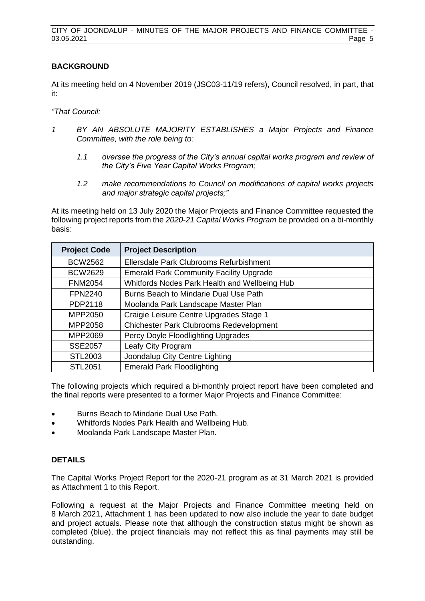#### **BACKGROUND**

At its meeting held on 4 November 2019 (JSC03-11/19 refers), Council resolved, in part, that it:

*"That Council:*

- *1 BY AN ABSOLUTE MAJORITY ESTABLISHES a Major Projects and Finance Committee, with the role being to:*
	- *1.1 oversee the progress of the City's annual capital works program and review of the City's Five Year Capital Works Program;*
	- *1.2 make recommendations to Council on modifications of capital works projects and major strategic capital projects;"*

At its meeting held on 13 July 2020 the Major Projects and Finance Committee requested the following project reports from the *2020-21 Capital Works Program* be provided on a bi-monthly basis:

| <b>Project Code</b> | <b>Project Description</b>                     |
|---------------------|------------------------------------------------|
| <b>BCW2562</b>      | Ellersdale Park Clubrooms Refurbishment        |
| <b>BCW2629</b>      | <b>Emerald Park Community Facility Upgrade</b> |
| <b>FNM2054</b>      | Whitfords Nodes Park Health and Wellbeing Hub  |
| <b>FPN2240</b>      | Burns Beach to Mindarie Dual Use Path          |
| PDP2118             | Moolanda Park Landscape Master Plan            |
| MPP2050             | Craigie Leisure Centre Upgrades Stage 1        |
| MPP2058             | <b>Chichester Park Clubrooms Redevelopment</b> |
| MPP2069             | Percy Doyle Floodlighting Upgrades             |
| <b>SSE2057</b>      | Leafy City Program                             |
| STL2003             | Joondalup City Centre Lighting                 |
| <b>STL2051</b>      | <b>Emerald Park Floodlighting</b>              |

The following projects which required a bi-monthly project report have been completed and the final reports were presented to a former Major Projects and Finance Committee:

- Burns Beach to Mindarie Dual Use Path.
- Whitfords Nodes Park Health and Wellbeing Hub.
- Moolanda Park Landscape Master Plan.

#### **DETAILS**

The Capital Works Project Report for the 2020-21 program as at 31 March 2021 is provided as Attachment 1 to this Report.

Following a request at the Major Projects and Finance Committee meeting held on 8 March 2021, Attachment 1 has been updated to now also include the year to date budget and project actuals. Please note that although the construction status might be shown as completed (blue), the project financials may not reflect this as final payments may still be outstanding.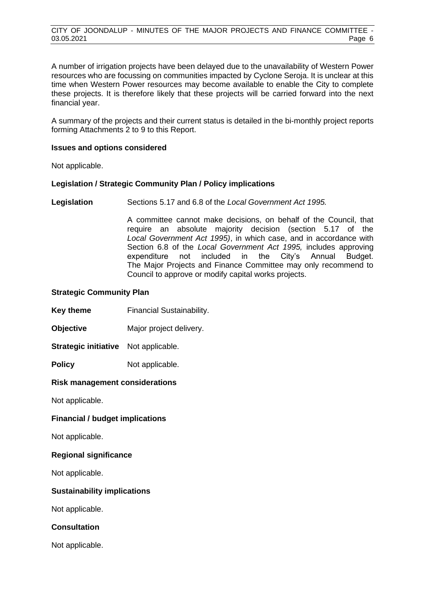A number of irrigation projects have been delayed due to the unavailability of Western Power resources who are focussing on communities impacted by Cyclone Seroja. It is unclear at this time when Western Power resources may become available to enable the City to complete these projects. It is therefore likely that these projects will be carried forward into the next financial year.

A summary of the projects and their current status is detailed in the bi-monthly project reports forming Attachments 2 to 9 to this Report.

#### **Issues and options considered**

Not applicable.

#### **Legislation / Strategic Community Plan / Policy implications**

**Legislation** Sections 5.17 and 6.8 of the *Local Government Act 1995.*

A committee cannot make decisions, on behalf of the Council, that require an absolute majority decision (section 5.17 of the *Local Government Act 1995)*, in which case, and in accordance with Section 6.8 of the *Local Government Act 1995,* includes approving expenditure not included in the City's Annual Budget. The Major Projects and Finance Committee may only recommend to Council to approve or modify capital works projects.

#### **Strategic Community Plan**

**Key theme** Financial Sustainability.

**Objective** Major project delivery.

**Strategic initiative** Not applicable.

**Policy** Not applicable.

#### **Risk management considerations**

Not applicable.

**Financial / budget implications**

Not applicable.

#### **Regional significance**

Not applicable.

#### **Sustainability implications**

Not applicable.

#### **Consultation**

Not applicable.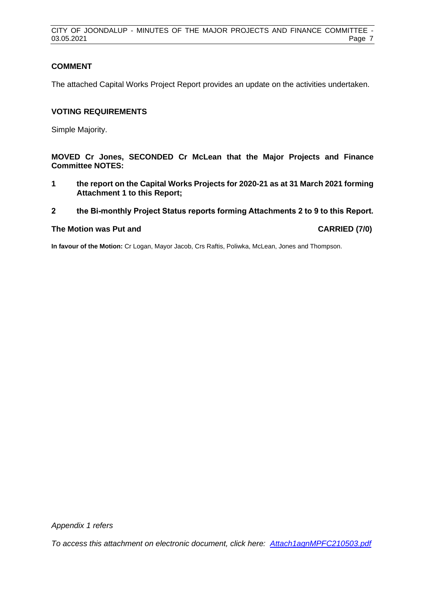CITY OF JOONDALUP - MINUTES OF THE MAJOR PROJECTS AND FINANCE COMMITTEE - 03.05.2021 Page 7

#### **COMMENT**

The attached Capital Works Project Report provides an update on the activities undertaken.

#### **VOTING REQUIREMENTS**

Simple Majority.

**MOVED Cr Jones, SECONDED Cr McLean that the Major Projects and Finance Committee NOTES:**

**1 the report on the Capital Works Projects for 2020-21 as at 31 March 2021 forming Attachment 1 to this Report;**

#### **2 the Bi-monthly Project Status reports forming Attachments 2 to 9 to this Report.**

#### **The Motion was Put and CARRIED (7/0)**

**In favour of the Motion:** Cr Logan, Mayor Jacob, Crs Raftis, Poliwka, McLean, Jones and Thompson.

*Appendix 1 refers*

*[To access this attachment on electronic document, click here: Attach1agnMPFC210503.pdf](http://www.joondalup.wa.gov.au/files/committees/MPFI/2021/Attach1agnMPFC210503.pdf)*